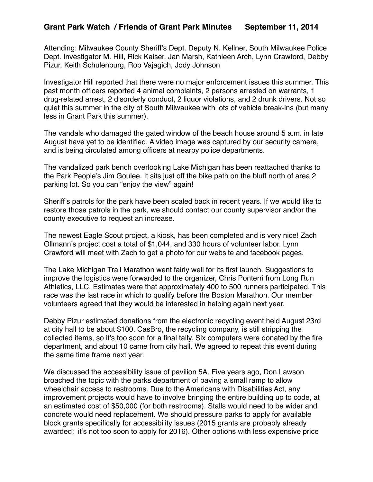## **Grant Park Watch / Friends of Grant Park Minutes September 11, 2014**

Attending: Milwaukee County Sheriff's Dept. Deputy N. Kellner, South Milwaukee Police Dept. Investigator M. Hill, Rick Kaiser, Jan Marsh, Kathleen Arch, Lynn Crawford, Debby Pizur, Keith Schulenburg, Rob Vajagich, Jody Johnson

Investigator Hill reported that there were no major enforcement issues this summer. This past month officers reported 4 animal complaints, 2 persons arrested on warrants, 1 drug-related arrest, 2 disorderly conduct, 2 liquor violations, and 2 drunk drivers. Not so quiet this summer in the city of South Milwaukee with lots of vehicle break-ins (but many less in Grant Park this summer).

The vandals who damaged the gated window of the beach house around 5 a.m. in late August have yet to be identified. A video image was captured by our security camera, and is being circulated among officers at nearby police departments.

The vandalized park bench overlooking Lake Michigan has been reattached thanks to the Park People's Jim Goulee. It sits just off the bike path on the bluff north of area 2 parking lot. So you can "enjoy the view" again!

Sheriff's patrols for the park have been scaled back in recent years. If we would like to restore those patrols in the park, we should contact our county supervisor and/or the county executive to request an increase.

The newest Eagle Scout project, a kiosk, has been completed and is very nice! Zach Ollmann's project cost a total of \$1,044, and 330 hours of volunteer labor. Lynn Crawford will meet with Zach to get a photo for our website and facebook pages.

The Lake Michigan Trail Marathon went fairly well for its first launch. Suggestions to improve the logistics were forwarded to the organizer, Chris Ponterri from Long Run Athletics, LLC. Estimates were that approximately 400 to 500 runners participated. This race was the last race in which to qualify before the Boston Marathon. Our member volunteers agreed that they would be interested in helping again next year.

Debby Pizur estimated donations from the electronic recycling event held August 23rd at city hall to be about \$100. CasBro, the recycling company, is still stripping the collected items, so it's too soon for a final tally. Six computers were donated by the fire department, and about 10 came from city hall. We agreed to repeat this event during the same time frame next year.

We discussed the accessibility issue of pavilion 5A. Five years ago, Don Lawson broached the topic with the parks department of paving a small ramp to allow wheelchair access to restrooms. Due to the Americans with Disabilities Act, any improvement projects would have to involve bringing the entire building up to code, at an estimated cost of \$50,000 (for both restrooms). Stalls would need to be wider and concrete would need replacement. We should pressure parks to apply for available block grants specifically for accessibility issues (2015 grants are probably already awarded; it's not too soon to apply for 2016). Other options with less expensive price